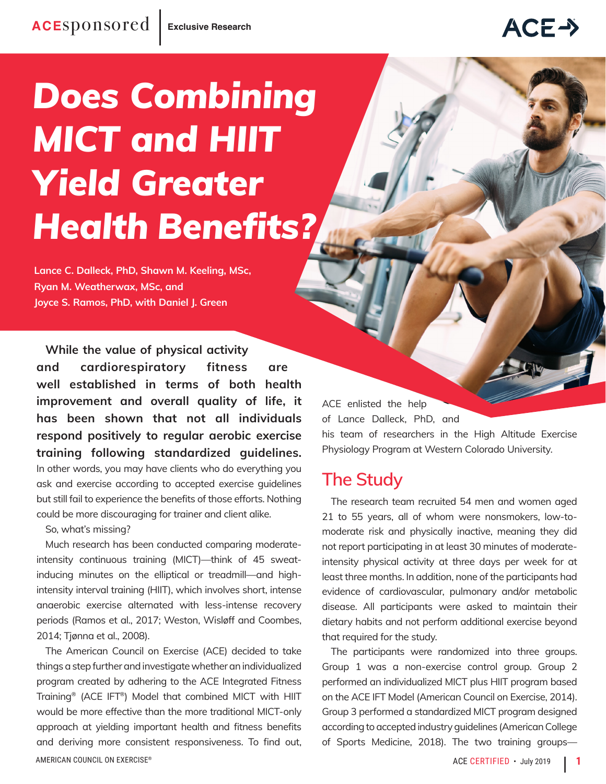## ACE->

# *Does Combining MICT and HIIT Yield Greater Health Benefits?*

**Lance C. Dalleck, PhD, Shawn M. Keeling, MSc, Ryan M. Weatherwax, MSc, and Joyce S. Ramos, PhD, with Daniel J. Green**

**While the value of physical activity and cardiorespiratory fitness are well established in terms of both health improvement and overall quality of life, it has been shown that not all individuals respond positively to regular aerobic exercise training following standardized guidelines.** In other words, you may have clients who do everything you ask and exercise according to accepted exercise guidelines but still fail to experience the benefits of those efforts. Nothing could be more discouraging for trainer and client alike.

So, what's missing?

Much research has been conducted comparing moderateintensity continuous training (MICT)—think of 45 sweatinducing minutes on the elliptical or treadmill—and highintensity interval training (HIIT), which involves short, intense anaerobic exercise alternated with less-intense recovery periods (Ramos et al., 2017; Weston, Wisløff and Coombes, 2014; Tjønna et al., 2008).

AMERICAN COUNCIL ON EXERCISE<sup>®</sup> and the set of the set of the set of the set of the set of the set of the set of the set of the set of the set of the set of the set of the set of the set of the set of the set of the set of The American Council on Exercise (ACE) decided to take things a step further and investigate whether an individualized program created by adhering to the ACE Integrated Fitness Training® (ACE IFT®) Model that combined MICT with HIIT would be more effective than the more traditional MICT-only approach at yielding important health and fitness benefits and deriving more consistent responsiveness. To find out,

ACE enlisted the help of Lance Dalleck, PhD, and

his team of researchers in the High Altitude Exercise Physiology Program at Western Colorado University.

## **The Study**

The research team recruited 54 men and women aged 21 to 55 years, all of whom were nonsmokers, low-tomoderate risk and physically inactive, meaning they did not report participating in at least 30 minutes of moderateintensity physical activity at three days per week for at least three months. In addition, none of the participants had evidence of cardiovascular, pulmonary and/or metabolic disease. All participants were asked to maintain their dietary habits and not perform additional exercise beyond that required for the study.

The participants were randomized into three groups. Group 1 was a non-exercise control group. Group 2 performed an individualized MICT plus HIIT program based on the ACE IFT Model (American Council on Exercise, 2014). Group 3 performed a standardized MICT program designed according to accepted industry guidelines (American College of Sports Medicine, 2018). The two training groups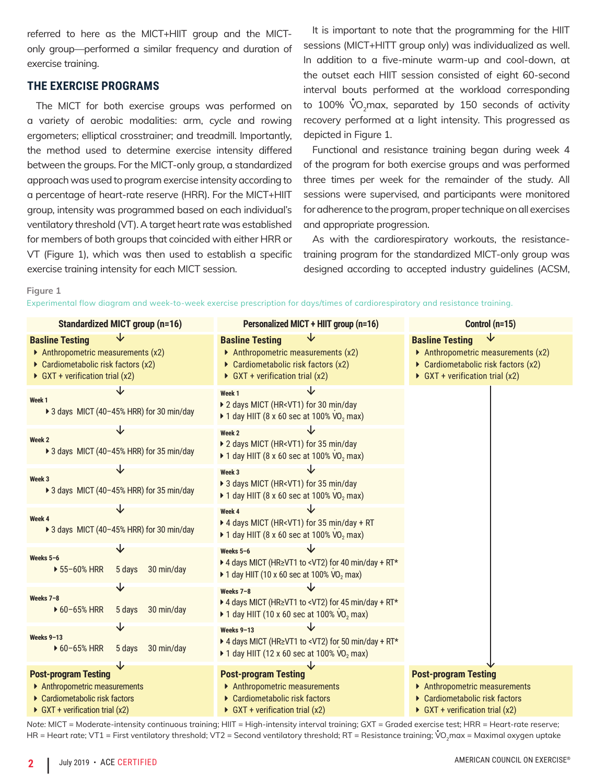referred to here as the MICT+HIIT group and the MICTonly group—performed a similar frequency and duration of exercise training.

#### **THE EXERCISE PROGRAMS**

The MICT for both exercise groups was performed on a variety of aerobic modalities: arm, cycle and rowing ergometers; elliptical crosstrainer; and treadmill. Importantly, the method used to determine exercise intensity differed between the groups. For the MICT-only group, a standardized approach was used to program exercise intensity according to a percentage of heart-rate reserve (HRR). For the MICT+HIIT group, intensity was programmed based on each individual's ventilatory threshold (VT). A target heart rate was established for members of both groups that coincided with either HRR or VT (Figure 1), which was then used to establish a specific exercise training intensity for each MICT session.

It is important to note that the programming for the HIIT sessions (MICT+HITT group only) was individualized as well. In addition to a five-minute warm-up and cool-down, at the outset each HIIT session consisted of eight 60-second interval bouts performed at the workload corresponding to 100%  $\mathring{V}\mathrm{O}_2$ max, separated by 150 seconds of activity recovery performed at a light intensity. This progressed as depicted in Figure 1.

Functional and resistance training began during week 4 of the program for both exercise groups and was performed three times per week for the remainder of the study. All sessions were supervised, and participants were monitored for adherence to the program, proper technique on all exercises and appropriate progression.

As with the cardiorespiratory workouts, the resistancetraining program for the standardized MICT-only group was designed according to accepted industry guidelines (ACSM,

**Figure 1**

| Experimental flow digaram and week-to-week exercise prescription for days/times of cardiorespiratory and resistance training. |  |  |  |  |  |  |  |
|-------------------------------------------------------------------------------------------------------------------------------|--|--|--|--|--|--|--|
|                                                                                                                               |  |  |  |  |  |  |  |
|                                                                                                                               |  |  |  |  |  |  |  |

| <b>Standardized MICT group (n=16)</b>                                                                                                | Personalized MICT + HIIT group (n=16)                                                                                                                                        | Control (n=15)                                                                                                                       |  |  |  |
|--------------------------------------------------------------------------------------------------------------------------------------|------------------------------------------------------------------------------------------------------------------------------------------------------------------------------|--------------------------------------------------------------------------------------------------------------------------------------|--|--|--|
| <b>Basline Testing</b><br>Anthropometric measurements $(x2)$<br>Cardiometabolic risk factors (x2)<br>GXT + verification trial $(x2)$ | <b>Basline Testing</b><br>Anthropometric measurements $(x2)$<br>Cardiometabolic risk factors (x2)<br>GXT + verification trial $(x2)$                                         | <b>Basline Testing</b><br>Anthropometric measurements $(x2)$<br>Cardiometabolic risk factors (x2)<br>GXT + verification trial $(x2)$ |  |  |  |
| Week 1<br>> 3 days MICT (40-45% HRR) for 30 min/day                                                                                  | Week <sub>1</sub><br>▶ 2 days MICT (HR <vt1) 30="" day<br="" for="" min=""><math>\triangleright</math> 1 day HIIT (8 x 60 sec at 100% VO<sub>2</sub> max)</vt1)>             |                                                                                                                                      |  |  |  |
| Week 2<br>▶ 3 days MICT (40-45% HRR) for 35 min/day                                                                                  | Week 2<br>▶ 2 days MICT (HR <vt1) 35="" day<br="" for="" min="">▶ 1 day HIIT (8 x 60 sec at 100% <math>VO_2</math> max)</vt1)>                                               |                                                                                                                                      |  |  |  |
| Week 3<br>▶ 3 days MICT (40-45% HRR) for 35 min/day                                                                                  | Week 3<br>▶ 3 days MICT (HR <vt1) 35="" day<br="" for="" min=""><math>\triangleright</math> 1 day HIIT (8 x 60 sec at 100% VO<sub>2</sub> max)</vt1)>                        |                                                                                                                                      |  |  |  |
| Week 4<br>▶ 3 days MICT (40-45% HRR) for 30 min/day                                                                                  | Week 4<br>▶ 4 days MICT (HR <vt1) +="" 35="" day="" for="" min="" rt<br="">▶ 1 day HIIT (8 x 60 sec at 100% <math>VO_2</math> max)</vt1)>                                    |                                                                                                                                      |  |  |  |
| Weeks 5-6<br>▶ 55-60% HRR<br>30 min/day<br>5 days                                                                                    | Weeks 5-6<br>▶ 4 days MICT (HR≥VT1 to <vt2) +="" 40="" day="" for="" min="" rt*<br=""><math>\triangleright</math> 1 day HIIT (10 x 60 sec at 100% VO<sub>2</sub> max)</vt2)> |                                                                                                                                      |  |  |  |
| Weeks 7-8<br>$\triangleright$ 60-65% HRR<br>30 min/day<br>5 days                                                                     | Weeks 7-8<br>▶ 4 days MICT (HR≥VT1 to <vt2) +="" 45="" day="" for="" min="" rt*<br=""><math>\triangleright</math> 1 day HIIT (10 x 60 sec at 100% VO<sub>2</sub> max)</vt2)> |                                                                                                                                      |  |  |  |
| Weeks 9-13<br>▶ 60-65% HRR<br>30 min/day<br>5 days                                                                                   | Weeks 9-13<br>▶ 4 days MICT (HR≥VT1 to <vt2) +="" 50="" day="" for="" min="" rt*<br="">▶ 1 day HIIT (12 x 60 sec at 100% VO<sub>2</sub> max)</vt2)>                          |                                                                                                                                      |  |  |  |
| <b>Post-program Testing</b><br>▶ Anthropometric measurements<br>▶ Cardiometabolic risk factors<br>GXT + verification trial $(x2)$    | <b>Post-program Testing</b><br>▶ Anthropometric measurements<br>▶ Cardiometabolic risk factors<br>GXT + verification trial $(x2)$                                            | <b>Post-program Testing</b><br>Anthropometric measurements<br>▶ Cardiometabolic risk factors<br>GXT + verification trial $(x2)$      |  |  |  |

*Note:* MICT = Moderate-intensity continuous training; HIIT = High-intensity interval training; GXT = Graded exercise test; HRR = Heart-rate reserve; HR = Heart rate; VT1 = First ventilatory threshold; VT2 = Second ventilatory threshold; RT = Resistance training;  $\dot{\rm V}$ O<sub>2</sub>max = Maximal oxygen uptake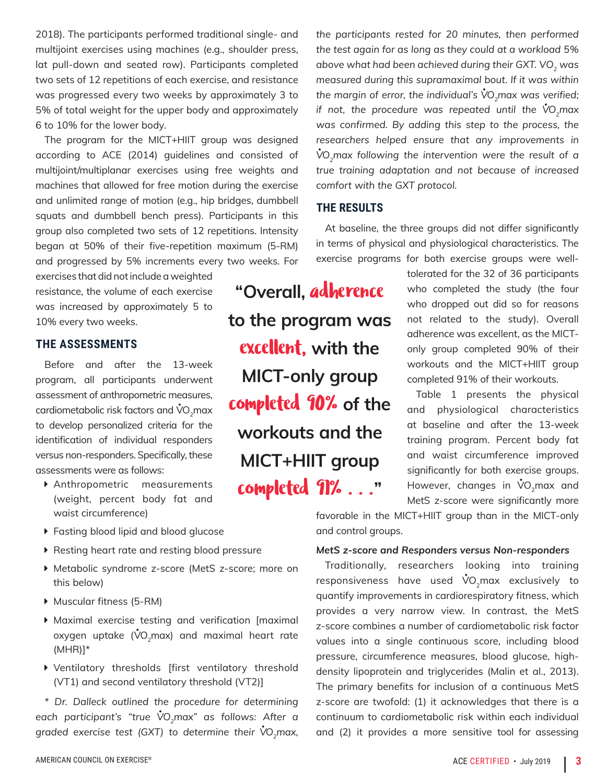2018). The participants performed traditional single- and multijoint exercises using machines (e.g., shoulder press, lat pull-down and seated row). Participants completed two sets of 12 repetitions of each exercise, and resistance was progressed every two weeks by approximately 3 to 5% of total weight for the upper body and approximately 6 to 10% for the lower body.

The program for the MICT+HIIT group was designed according to ACE (2014) guidelines and consisted of multijoint/multiplanar exercises using free weights and machines that allowed for free motion during the exercise and unlimited range of motion (e.g., hip bridges, dumbbell squats and dumbbell bench press). Participants in this group also completed two sets of 12 repetitions. Intensity began at 50% of their five-repetition maximum (5-RM) and progressed by 5% increments every two weeks. For

exercises that did not include a weighted resistance, the volume of each exercise was increased by approximately 5 to 10% every two weeks.

#### **THE ASSESSMENTS**

Before and after the 13-week program, all participants underwent assessment of anthropometric measures, cardiometabolic risk factors and  $\mathring{\text{V}}\text{O}_2$ max to develop personalized criteria for the identification of individual responders versus non-responders. Specifically, these assessments were as follows:

- ▶ Anthropometric measurements (weight, percent body fat and waist circumference)
- **Fasting blood lipid and blood glucose**
- $\blacktriangleright$  Resting heart rate and resting blood pressure
- ▶ Metabolic syndrome z-score (MetS z-score; more on this below)
- $\blacktriangleright$  Muscular fitness (5-RM)
- $\triangleright$  Maximal exercise testing and verification [maximal oxygen uptake ( $\mathsf{\dot{V}O}_{2}$ max) and maximal heart rate  $(MHR)$ <sup>\*</sup>
- $\triangleright$  Ventilatory thresholds [first ventilatory threshold (VT1) and second ventilatory threshold (VT2)]

*\* Dr. Dalleck outlined the procedure for determining each participant's "true V• O2max" as follows: After a*  graded exercise test (GXT) to determine their  $\sqrt[12]{O_2}$ max,

**"Overall,** adherence **to the program was**  excellent, **with the MICT-only group**  completed 90% **of the workouts and the MICT+HIIT group**  completed 91% . . .**"**

*the participants rested for 20 minutes, then performed the test again for as long as they could at a workload 5%*  above what had been achieved during their GXT. VO<sub>2</sub> was *measured during this supramaximal bout. If it was within the margin of error, the individual's V• O2max was verified; if not, the procedure was repeated until the*  $\sqrt[6]{O_{2}}$ *max was confirmed. By adding this step to the process, the researchers helped ensure that any improvements in*   $\boldsymbol{\dot{V}}$ O<sub>2</sub>max following the intervention were the result of a *true training adaptation and not because of increased comfort with the GXT protocol.*

#### **THE RESULTS**

At baseline, the three groups did not differ significantly in terms of physical and physiological characteristics. The exercise programs for both exercise groups were well-

> tolerated for the 32 of 36 participants who completed the study (the four who dropped out did so for reasons not related to the study). Overall adherence was excellent, as the MICTonly group completed 90% of their workouts and the MICT+HIIT group completed 91% of their workouts.

> Table 1 presents the physical and physiological characteristics at baseline and after the 13-week training program. Percent body fat and waist circumference improved significantly for both exercise groups. However, changes in  $\mathring{\text{VO}}_2$ max and MetS z-score were significantly more

favorable in the MICT+HIIT group than in the MICT-only and control groups.

#### *MetS z-score and Responders versus Non-responders*

Traditionally, researchers looking into training responsiveness have used  $\mathring{\text{V}}\text{O}_2$ max exclusively to quantify improvements in cardiorespiratory fitness, which provides a very narrow view. In contrast, the MetS z-score combines a number of cardiometabolic risk factor values into a single continuous score, including blood pressure, circumference measures, blood glucose, highdensity lipoprotein and triglycerides (Malin et al., 2013). The primary benefits for inclusion of a continuous MetS z-score are twofold: (1) it acknowledges that there is a continuum to cardiometabolic risk within each individual and (2) it provides a more sensitive tool for assessing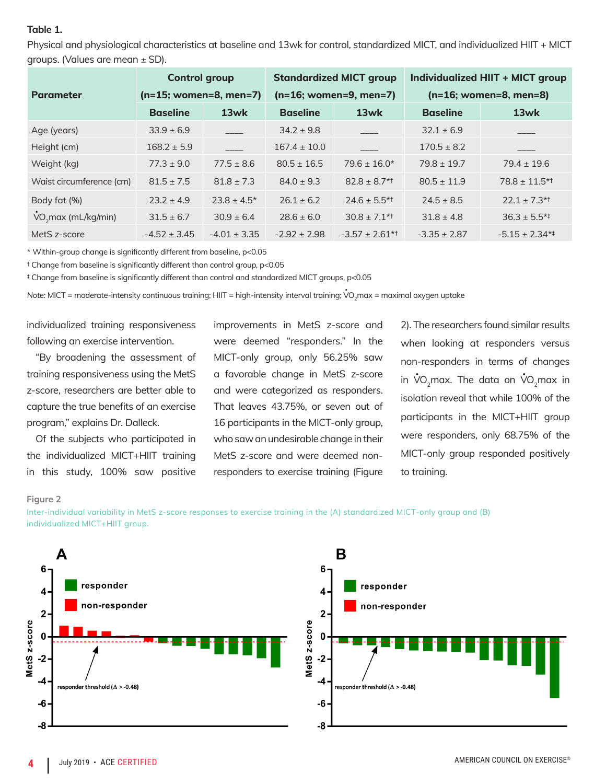#### **Table 1.**

Physical and physiological characteristics at baseline and 13wk for control, standardized MICT, and individualized HIIT + MICT groups. (Values are mean ± SD).

|                          | <b>Control group</b>     |                  |                  | <b>Standardized MICT group</b> | Individualized HIIT + MICT group<br>$(n=16;$ women=8, men=8) |                                |  |  |
|--------------------------|--------------------------|------------------|------------------|--------------------------------|--------------------------------------------------------------|--------------------------------|--|--|
| <b>Parameter</b>         | $(n=15;$ women=8, men=7) |                  |                  | $(n=16;$ women=9, men=7)       |                                                              |                                |  |  |
|                          | <b>Baseline</b>          | 13wk             | <b>Baseline</b>  | 13wk                           | <b>Baseline</b>                                              | 13wk                           |  |  |
| Age (years)              | $33.9 \pm 6.9$           |                  | $34.2 \pm 9.8$   |                                | $32.1 \pm 6.9$                                               |                                |  |  |
| Height (cm)              | $168.2 \pm 5.9$          |                  | $167.4 \pm 10.0$ |                                | $170.5 \pm 8.2$                                              |                                |  |  |
| Weight (kg)              | $77.3 \pm 9.0$           | $77.5 \pm 8.6$   | $80.5 \pm 16.5$  | $79.6 \pm 16.0*$               | $79.8 \pm 19.7$                                              | $79.4 \pm 19.6$                |  |  |
| Waist circumference (cm) | $81.5 \pm 7.5$           | $81.8 \pm 7.3$   | $84.0 \pm 9.3$   | $82.8 \pm 8.7$ <sup>*1</sup>   | $80.5 \pm 11.9$                                              | $78.8 \pm 11.5$ *1             |  |  |
| Body fat (%)             | $23.2 \pm 4.9$           | $23.8 \pm 4.5^*$ | $26.1 \pm 6.2$   | $24.6 \pm 5.5$ <sup>*1</sup>   | $24.5 \pm 8.5$                                               | $22.1 \pm 7.3$ <sup>*†</sup>   |  |  |
| $VO2$ max (mL/kg/min)    | $31.5 \pm 6.7$           | $30.9 \pm 6.4$   | $28.6 \pm 6.0$   | $30.8 \pm 7.1$ <sup>*1</sup>   | $31.8 \pm 4.8$                                               | $36.3 \pm 5.5^{*+}$            |  |  |
| MetS z-score             | $-4.52 \pm 3.45$         | $-4.01 \pm 3.35$ | $-2.92 \pm 2.98$ | $-3.57 \pm 2.61$ <sup>*†</sup> | $-3.35 \pm 2.87$                                             | $-5.15 \pm 2.34$ <sup>**</sup> |  |  |

\* Within-group change is significantly different from baseline, p<0.05

† Change from baseline is significantly different than control group, p<0.05

‡ Change from baseline is significantly different than control and standardized MICT groups, p<0.05

Note: MICT = moderate-intensity continuous training; HIIT = high-intensity interval training; V<sup>\*</sup>O<sub>2</sub>max = maximal oxygen uptake

individualized training responsiveness following an exercise intervention.

"By broadening the assessment of training responsiveness using the MetS z-score, researchers are better able to capture the true benefits of an exercise program," explains Dr. Dalleck.

Of the subjects who participated in the individualized MICT+HIIT training in this study, 100% saw positive

improvements in MetS z-score and were deemed "responders." In the MICT-only group, only 56.25% saw a favorable change in MetS z-score and were categorized as responders. That leaves 43.75%, or seven out of 16 participants in the MICT-only group, who saw an undesirable change in their MetS z-score and were deemed nonresponders to exercise training (Figure

2). The researchers found similar results when looking at responders versus non-responders in terms of changes in  $\mathsf{\dot{V}O}_2$ max. The data on  $\mathsf{\dot{V}O}_2$ max in isolation reveal that while 100% of the participants in the MICT+HIIT group were responders, only 68.75% of the MICT-only group responded positively to training.

#### **Figure 2**

Inter-individual variability in MetS z-score responses to exercise training in the (A) standardized MICT-only group and (B) individualized MICT+HIIT group.